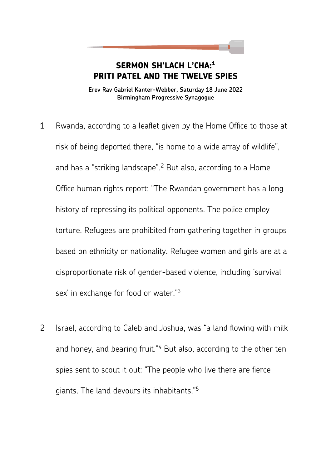**SERMON SH'LACH L'CHA:<sup>1</sup> PRITI PATEL AND THE TWELVE SPIES** 

**Erev Rav Gabriel Kanter-Webber, Saturday 18 June 2022 Birmingham Progressive Synagogue** 

- 1 Rwanda, according to a leaflet given by the Home Office to those at risk of being deported there, "is home to a wide array of wildlife", and has a "striking landscape".<sup>2</sup> But also, according to a Home Office human rights report: "The Rwandan government has a long history of repressing its political opponents. The police employ torture. Refugees are prohibited from gathering together in groups based on ethnicity or nationality. Refugee women and girls are at a disproportionate risk of gender-based violence, including 'survival sex' in exchange for food or water."<sup>3</sup>
- 2 Israel, according to Caleb and Joshua, was "a land flowing with milk and honey, and bearing fruit."<sup>4</sup> But also, according to the other ten spies sent to scout it out: "The people who live there are fierce giants. The land devours its inhabitants."5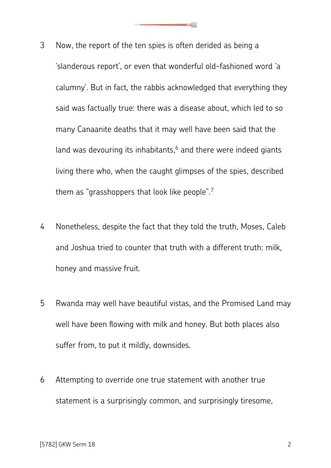- 3 Now, the report of the ten spies is often derided as being a 'slanderous report', or even that wonderful old-fashioned word 'a calumny'. But in fact, the rabbis acknowledged that everything they said was factually true: there was a disease about, which led to so many Canaanite deaths that it may well have been said that the land was devouring its inhabitants, $6$  and there were indeed giants living there who, when the caught glimpses of the spies, described them as "grasshoppers that look like people".<sup>7</sup>
- 4 Nonetheless, despite the fact that they told the truth, Moses, Caleb and Joshua tried to counter that truth with a different truth: milk, honey and massive fruit.
- 5 Rwanda may well have beautiful vistas, and the Promised Land may well have been flowing with milk and honey. But both places also suffer from, to put it mildly, downsides.
- 6 Attempting to override one true statement with another true statement is a surprisingly common, and surprisingly tiresome,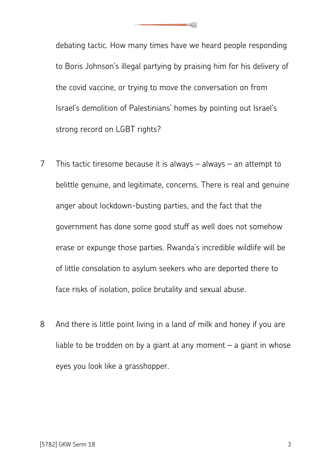debating tactic. How many times have we heard people responding to Boris Johnson's illegal partying by praising him for his delivery of the covid vaccine, or trying to move the conversation on from Israel's demolition of Palestinians' homes by pointing out Israel's strong record on LGBT rights?

- 7 This tactic tiresome because it is always always an attempt to belittle genuine, and legitimate, concerns. There is real and genuine anger about lockdown-busting parties, and the fact that the government has done some good stuff as well does not somehow erase or expunge those parties. Rwanda's incredible wildlife will be of little consolation to asylum seekers who are deported there to face risks of isolation, police brutality and sexual abuse.
- 8 And there is little point living in a land of milk and honey if you are liable to be trodden on by a giant at any moment  $-$  a giant in whose eyes you look like a grasshopper.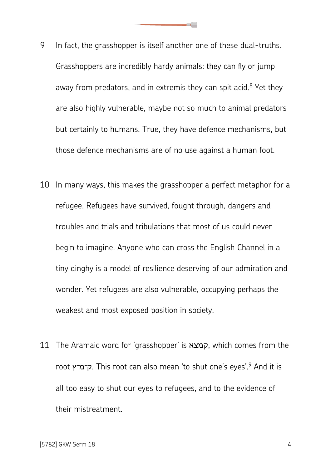- 9 In fact, the grasshopper is itself another one of these dual-truths. Grasshoppers are incredibly hardy animals: they can fly or jump away from predators, and in extremis they can spit acid.<sup>8</sup> Yet they are also highly vulnerable, maybe not so much to animal predators but certainly to humans. True, they have defence mechanisms, but those defence mechanisms are of no use against a human foot.
- 10 In many ways, this makes the grasshopper a perfect metaphor for a refugee. Refugees have survived, fought through, dangers and troubles and trials and tribulations that most of us could never begin to imagine. Anyone who can cross the English Channel in a tiny dinghy is a model of resilience deserving of our admiration and wonder. Yet refugees are also vulnerable, occupying perhaps the weakest and most exposed position in society.
- 11 The Aramaic word for 'grasshopper' is קמצא, which comes from the root ק־מ־ץ. This root can also mean 'to shut one's eyes'. And it is all too easy to shut our eyes to refugees, and to the evidence of their mistreatment.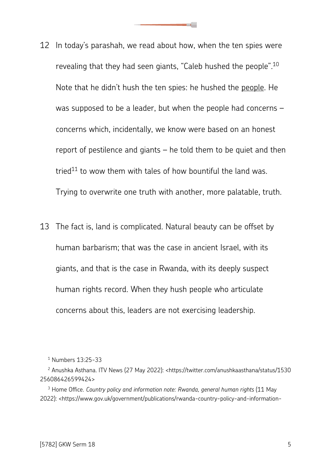- 12 In today's parashah, we read about how, when the ten spies were revealing that they had seen giants, "Caleb hushed the people".<sup>10</sup> Note that he didn't hush the ten spies: he hushed the people. He was supposed to be a leader, but when the people had concerns – concerns which, incidentally, we know were based on an honest report of pestilence and giants – he told them to be quiet and then tried $11$  to wow them with tales of how bountiful the land was. Trying to overwrite one truth with another, more palatable, truth.
- 13 The fact is, land is complicated. Natural beauty can be offset by human barbarism; that was the case in ancient Israel, with its giants, and that is the case in Rwanda, with its deeply suspect human rights record. When they hush people who articulate concerns about this, leaders are not exercising leadership.

<sup>1</sup> Numbers 13:25-33

<sup>2</sup> Anushka Asthana. ITV News (27 May 2022): <https://twitter.com/anushkaasthana/status/1530 256086426599424>

<sup>3</sup> Home Office. *Country policy and information note: Rwanda, general human rights* (11 May 2022): <https://www.gov.uk/government/publications/rwanda-country-policy-and-information-